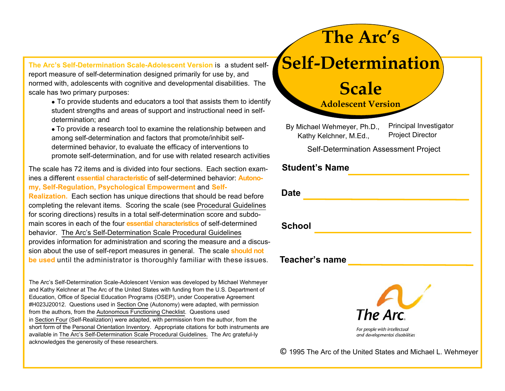**The Arc's Self-Determination Scale-Adolescent Version** is a student selfreport measure of self-determination designed primarily for use by, and normed with, adolescents with cognitive and developmental disabilities. The scale has two primary purposes:

- To provide students and educators a tool that assists them to identify student strengths and areas of support and instructional need in self determination; and
- To provide a research tool to examine the relationship between and among self-determination and factors that promote/inhibit selfdetermined behavior, to evaluate the efficacy of interventions topromote self-determination, and for use with related research activities

The scale has 72 items and is divided into four sections. Each section examines a different **essential characteristic** of self-determined behavior: **Autonomy, Self-Regulation, Psychological Empowerment** and **Self-Realization.** Each section has unique directions that should be read before completing the relevant items. Scoring the scale (see Procedural Guidelines for scoring directions) results in a total self-determination score and subdomain scores in each of the four **essential characteristics** of self-determined behavior. The Arc's Self-Determination Scale Procedural Guidelines provides information for administration and scoring the measure and a discussion about the use of self-report measures in general. The scale **should not be used** until the administrator is thoroughly familiar with these issues.

The Arc's Self-Determination Scale-Adolescent Version was developed by Michael Wehmeyer and Kathy Kelchner at The Arc of the United States with funding from the U.S. Department of Education, Office of Special Education Programs (OSEP), under Cooperative Agreement #H023J20012. Questions used in Section One (Autonomy) were adapted, with permission from the authors, from the Autonomous Functioning Checklist. Questions used in Section Four (Self-Realization) were adapted, with permission from the author, from the short form of the Personal Orientation Inventory. Appropriate citations for both instruments are available in The Arc's Self-Determination Scale Procedural Guidelines. The Arc grateful-ly acknowledges the generosity of these researchers.

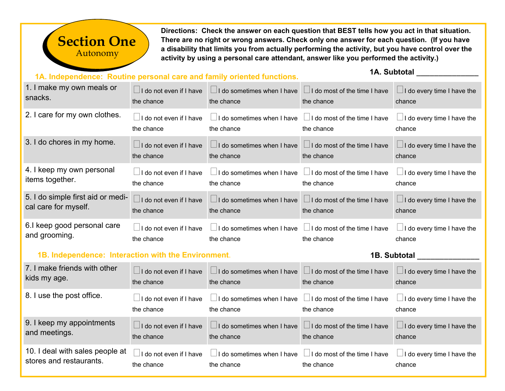## Autonomy **Section One**

**Directions: Check the answer on each question that BEST tells how you act in that situation. There are no right or wrong answers. Check only one answer for each question. (If you have a disability that limits you from actually performing the activity, but you have control over the activity by using a personal care attendant, answer like you performed the activity.)** 

## **1A. Independence: Routine personal care and family oriented functions.**

## **1A. Subtotal**  \_\_\_\_\_\_\_\_\_\_\_\_\_\_

| 1. I make my own meals or                           | $\Box$ I do not even if I have | $\Box$ I do sometimes when I have $\Box$ I do most of the time I have | the chance                          | $\Box$ I do every time I have the |
|-----------------------------------------------------|--------------------------------|-----------------------------------------------------------------------|-------------------------------------|-----------------------------------|
| snacks.                                             | the chance                     | the chance                                                            |                                     | chance                            |
| 2. I care for my own clothes.                       | I do not even if I have        | $\Box$ I do sometimes when I have                                     | $\Box$ I do most of the time I have | $\Box$ I do every time I have the |
|                                                     | the chance                     | the chance                                                            | the chance                          | chance                            |
| 3. I do chores in my home.                          | $\Box$ I do not even if I have | $\Box$ I do sometimes when I have                                     | $\Box$ I do most of the time I have | $\Box$ I do every time I have the |
|                                                     | the chance                     | the chance                                                            | the chance                          | chance                            |
| 4. I keep my own personal                           | I do not even if I have        | $\Box$ I do sometimes when I have                                     | $\Box$ I do most of the time I have | $\Box$ I do every time I have the |
| items together.                                     | the chance                     | the chance                                                            | the chance                          | chance                            |
| 5. I do simple first aid or medi-                   | I do not even if I have        | $\Box$ I do sometimes when I have                                     | $\Box$ I do most of the time I have | $\Box$ I do every time I have the |
| cal care for myself.                                | the chance                     | the chance                                                            | the chance                          | chance                            |
| 6.I keep good personal care                         | I do not even if I have        | $\Box$ I do sometimes when I have                                     | $\Box$ I do most of the time I have | $\Box$ I do every time I have the |
| and grooming.                                       | the chance                     | the chance                                                            | the chance                          | chance                            |
| 1B. Independence: Interaction with the Environment. |                                |                                                                       |                                     | 1B. Subtotal                      |
| 7. I make friends with other                        | $\Box$ I do not even if I have | $\Box$ I do sometimes when I have                                     | $\Box$ I do most of the time I have | $\Box$ I do every time I have the |
| kids my age.                                        | tho chanco                     | tho chanco                                                            | tho chance                          | chonco                            |

| KIUS IIIV aye.                                             | the chance                                          | the chance                                                                                        | the chance                                                                          | chance                                      |
|------------------------------------------------------------|-----------------------------------------------------|---------------------------------------------------------------------------------------------------|-------------------------------------------------------------------------------------|---------------------------------------------|
| 8. I use the post office.                                  | $\Box$ I do not even if I have<br>the chance        | $\Box$ I do sometimes when I have $\Box$ I do most of the time I have<br>the chance               | the chance                                                                          | $\Box$ I do every time I have the<br>chance |
| 9. I keep my appointments<br>and meetings.                 | $\Box$ I do not even if I have $\Box$<br>the chance | $\Box$ I do sometimes when I have $\Box$ I do most of the time I have<br>the chance<br>the chance |                                                                                     | $\Box$ I do every time I have the<br>chance |
| 10. I deal with sales people at<br>stores and restaurants. | I do not even if I have<br>the chance               | the chance                                                                                        | $\Box$ I do sometimes when I have $\Box$ I do most of the time I have<br>the chance | $\Box$ I do every time I have the<br>chance |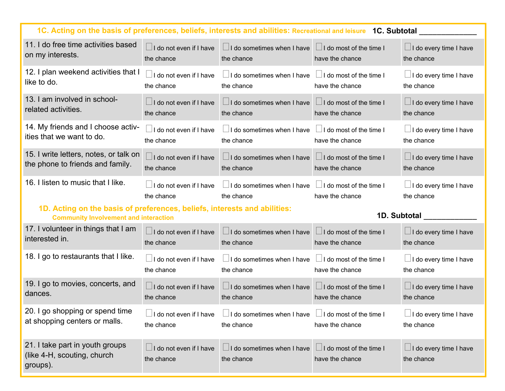| 1C. Acting on the basis of preferences, beliefs, interests and abilities: Recreational and leisure 1C. Subtotal |                                                                                          |                                   |                                                   |                                             |
|-----------------------------------------------------------------------------------------------------------------|------------------------------------------------------------------------------------------|-----------------------------------|---------------------------------------------------|---------------------------------------------|
| 11. I do free time activities based                                                                             | $\Box$ I do not even if I have                                                           | $\Box$ I do sometimes when I have | $\Box$ I do most of the time I                    | $\Box$ I do every time I have               |
| on my interests.                                                                                                | the chance                                                                               | the chance                        | have the chance                                   | the chance                                  |
| 12. I plan weekend activities that I                                                                            | $\Box$ I do not even if I have                                                           | $\Box$ I do sometimes when I have | $\Box$ I do most of the time I                    | $\Box$ I do every time I have               |
| like to do.                                                                                                     | the chance                                                                               | the chance                        | have the chance                                   | the chance                                  |
| 13. I am involved in school-                                                                                    | $\Box$ I do not even if I have                                                           | $\Box$ I do sometimes when I have | $\Box$ I do most of the time I                    | $\Box$ I do every time I have               |
| related activities.                                                                                             | the chance                                                                               | the chance                        | have the chance                                   | the chance                                  |
| 14. My friends and I choose activ-                                                                              | $\Box$ I do not even if I have                                                           | $\Box$ I do sometimes when I have | $\Box$ I do most of the time I                    | $\Box$ I do every time I have               |
| ities that we want to do.                                                                                       | the chance                                                                               | the chance                        | have the chance                                   | the chance                                  |
| 15. I write letters, notes, or talk on                                                                          | $\Box$ I do not even if I have                                                           | $\Box$ I do sometimes when I have | $\Box$ I do most of the time I                    | $\Box$ I do every time I have               |
| the phone to friends and family.                                                                                | the chance                                                                               | the chance                        | have the chance                                   | the chance                                  |
| 16. I listen to music that I like.                                                                              | I do not even if I have<br>$\Box$ I do sometimes when I have<br>the chance<br>the chance |                                   | $\Box$ I do most of the time I<br>have the chance | $\Box$ I do every time I have<br>the chance |
| 1D. Acting on the basis of preferences, beliefs, interests and abilities:                                       |                                                                                          |                                   |                                                   |                                             |
| <b>Community Involvement and interaction</b>                                                                    |                                                                                          |                                   |                                                   | 1D. Subtotal                                |
| 17. I volunteer in things that I am                                                                             | $\Box$ I do not even if I have                                                           | $\Box$ I do sometimes when I have | $\Box$ I do most of the time I                    | $\Box$ I do every time I have               |
| interested in.                                                                                                  | the chance                                                                               | the chance                        | have the chance                                   | the chance                                  |
| 18. I go to restaurants that I like.                                                                            | $\Box$ I do not even if I have                                                           | $\Box$ I do sometimes when I have | $\Box$ I do most of the time I                    | $\Box$ I do every time I have               |
|                                                                                                                 | the chance                                                                               | the chance                        | have the chance                                   | the chance                                  |
| 19. I go to movies, concerts, and                                                                               | $\Box$ I do not even if I have                                                           | $\Box$ I do sometimes when I have | $\Box$ I do most of the time I                    | $\Box$ I do every time I have               |
| dances.                                                                                                         | the chance                                                                               | the chance                        | have the chance                                   | the chance                                  |
| 20. I go shopping or spend time                                                                                 | I do not even if I have                                                                  | I do sometimes when I have        | I do most of the time I                           | $\Box$ I do every time I have               |
| at shopping centers or malls.                                                                                   | the chance                                                                               | the chance                        | have the chance                                   | the chance                                  |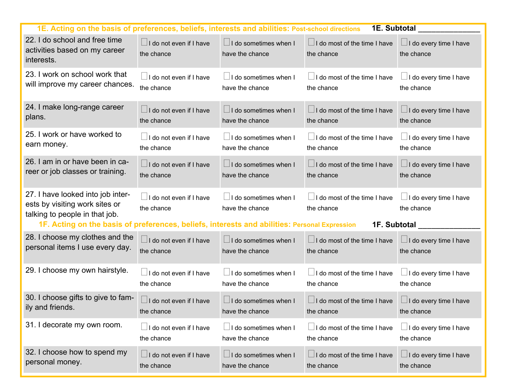| 1E. Acting on the basis of preferences, beliefs, interests and abilities: Post-school directions                                                                                                       |                                              |                                                 | 1E. Subtotal                                                      |                                             |
|--------------------------------------------------------------------------------------------------------------------------------------------------------------------------------------------------------|----------------------------------------------|-------------------------------------------------|-------------------------------------------------------------------|---------------------------------------------|
| 22. I do school and free time<br>activities based on my career<br>interests.                                                                                                                           | $\Box$ I do not even if I have<br>the chance | $\Box$ I do sometimes when I<br>have the chance | $\Box$ I do most of the time I have<br>the chance                 | $\Box$ I do every time I have<br>the chance |
| 23. I work on school work that                                                                                                                                                                         | $\Box$ I do not even if I have               | $\Box$ I do sometimes when I                    | $\Box$ I do most of the time I have                               | I do every time I have                      |
| will improve my career chances.                                                                                                                                                                        | the chance                                   | have the chance                                 | the chance                                                        | the chance                                  |
| 24. I make long-range career                                                                                                                                                                           | $\Box$ I do not even if I have               | $\Box$ I do sometimes when I                    | $\Box$ I do most of the time I have                               | $\Box$ I do every time I have               |
| plans.                                                                                                                                                                                                 | the chance                                   | have the chance                                 | the chance                                                        | the chance                                  |
| 25. I work or have worked to                                                                                                                                                                           | $\Box$ I do not even if I have               | $\Box$ I do sometimes when I                    | $\Box$ I do most of the time I have                               | $\Box$ I do every time I have               |
| earn money.                                                                                                                                                                                            | the chance                                   | have the chance                                 | the chance                                                        | the chance                                  |
| 26. I am in or have been in ca-                                                                                                                                                                        | $\Box$ I do not even if I have               | $\Box$ I do sometimes when I                    | $\Box$ I do most of the time I have                               | $\Box$ I do every time I have               |
| reer or job classes or training.                                                                                                                                                                       | the chance                                   | have the chance                                 | the chance                                                        | the chance                                  |
| 27. I have looked into job inter-<br>ests by visiting work sites or<br>talking to people in that job.<br>1F. Acting on the basis of preferences, beliefs, interests and abilities: Personal Expression | $\Box$ I do not even if I have<br>the chance | $\Box$ I do sometimes when I<br>have the chance | $\Box$ I do most of the time I have<br>the chance<br>1F. Subtotal | $\Box$ I do every time I have<br>the chance |
| 28. I choose my clothes and the                                                                                                                                                                        | $\Box$ I do not even if I have               | $\Box$ I do sometimes when I                    | $\Box$ I do most of the time I have                               | $\Box$ I do every time I have               |
| personal items I use every day.                                                                                                                                                                        | the chance                                   | have the chance                                 | the chance                                                        | the chance                                  |
| 29. I choose my own hairstyle.                                                                                                                                                                         | $\Box$ I do not even if I have               | $\Box$ I do sometimes when I                    | $\Box$ I do most of the time I have                               | I do every time I have                      |
|                                                                                                                                                                                                        | the chance                                   | have the chance                                 | the chance                                                        | the chance                                  |
| 30. I choose gifts to give to fam-                                                                                                                                                                     | $\Box$ I do not even if I have               | $\Box$ I do sometimes when I                    | $\Box$ I do most of the time I have                               | $\Box$ I do every time I have               |
| ily and friends.                                                                                                                                                                                       | the chance                                   | have the chance                                 | the chance                                                        | the chance                                  |
| 31. I decorate my own room.                                                                                                                                                                            | I do not even if I have                      | $\Box$ I do sometimes when I                    | $\Box$ I do most of the time I have                               | $\Box$ I do every time I have               |
|                                                                                                                                                                                                        | the chance                                   | have the chance                                 | the chance                                                        | the chance                                  |
| 32. I choose how to spend my                                                                                                                                                                           | $\Box$ I do not even if I have               | $\Box$ I do sometimes when I                    | $\Box$ I do most of the time I have                               | $\Box$ I do every time I have               |
| personal money.                                                                                                                                                                                        | the chance                                   | have the chance                                 | the chance                                                        | the chance                                  |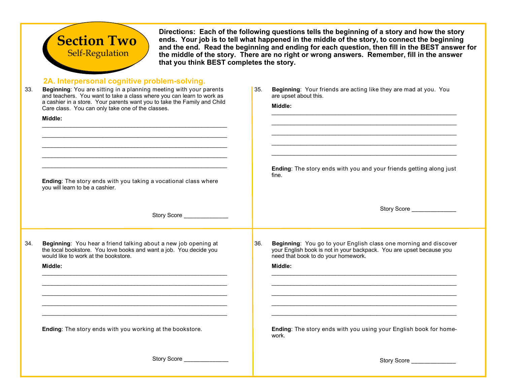

Directions: Each of the following questions tells the beginning of a story and how the story<br>ends. Your job is to tell what happened in the middle of the story, to connect the beginning<br>and the end. Read the beginning and **the middle of the story. There are no right or wrong answers. Remember, fill in the answer that you think BEST completes the story.** 

## **2A. Interpersonal cognitive problem-solving.**

| 33. | Beginning: You are sitting in a planning meeting with your parents<br>and teachers. You want to take a class where you can learn to work as<br>a cashier in a store. Your parents want you to take the Family and Child<br>Care class. You can only take one of the classes.<br>Middle:<br><u> 1989 - Johann Barbara, martxa alemaniar arg</u><br>Ending: The story ends with you taking a vocational class where<br>you will learn to be a cashier. | 35. | Beginning: Your friends are acting like they are mad at you. You<br>are upset about this.<br>Middle:<br>Ending: The story ends with you and your friends getting along just<br>fine.       |
|-----|------------------------------------------------------------------------------------------------------------------------------------------------------------------------------------------------------------------------------------------------------------------------------------------------------------------------------------------------------------------------------------------------------------------------------------------------------|-----|--------------------------------------------------------------------------------------------------------------------------------------------------------------------------------------------|
|     | Story Score _______________                                                                                                                                                                                                                                                                                                                                                                                                                          |     |                                                                                                                                                                                            |
| 34. | Beginning: You hear a friend talking about a new job opening at<br>the local bookstore. You love books and want a job. You decide you<br>would like to work at the bookstore.<br>Middle:                                                                                                                                                                                                                                                             | 36. | Beginning: You go to your English class one morning and discover<br>your English book is not in your backpack. You are upset because you<br>need that book to do your homework.<br>Middle: |
|     | Ending: The story ends with you working at the bookstore.                                                                                                                                                                                                                                                                                                                                                                                            |     | Ending: The story ends with you using your English book for home-<br>work.                                                                                                                 |
|     | Story Score _______________                                                                                                                                                                                                                                                                                                                                                                                                                          |     | Story Score <b>Story</b> Story Score                                                                                                                                                       |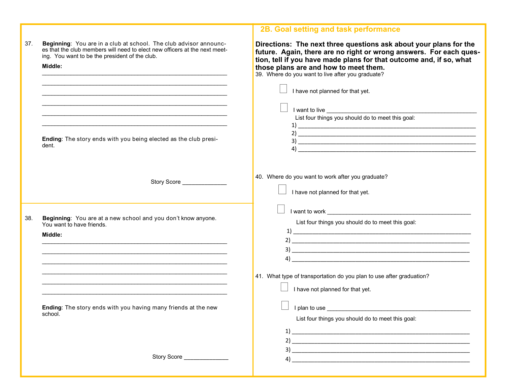|     |                                                                                                                                                                                                              | 2B. Goal setting and task performance                                                                                                                                                                                                                                                                                              |
|-----|--------------------------------------------------------------------------------------------------------------------------------------------------------------------------------------------------------------|------------------------------------------------------------------------------------------------------------------------------------------------------------------------------------------------------------------------------------------------------------------------------------------------------------------------------------|
| 37. | Beginning: You are in a club at school. The club advisor announc-<br>es that the club members will need to elect new officers at the next meet-<br>ing. You want to be the president of the club.<br>Middle: | Directions: The next three questions ask about your plans for the<br>future. Again, there are no right or wrong answers. For each ques-<br>tion, tell if you have made plans for that outcome and, if so, what<br>those plans are and how to meet them.<br>39. Where do you want to live after you graduate?                       |
|     |                                                                                                                                                                                                              | I have not planned for that yet.                                                                                                                                                                                                                                                                                                   |
|     | <u> 1989 - Johann Stoff, amerikansk politiker (d. 1989)</u><br>Ending: The story ends with you being elected as the club presi-<br>dent.                                                                     | List four things you should do to meet this goal:<br>$\overline{a}$                                                                                                                                                                                                                                                                |
|     | Story Score <b>Story</b> Story Score                                                                                                                                                                         | 40. Where do you want to work after you graduate?<br>I have not planned for that yet.                                                                                                                                                                                                                                              |
| 38. | Beginning: You are at a new school and you don't know anyone.<br>You want to have friends.<br>Middle:                                                                                                        | I want to work and the state of the state of the state of the state of the state of the state of the state of the state of the state of the state of the state of the state of the state of the state of the state of the stat<br>List four things you should do to meet this goal:                                                |
|     |                                                                                                                                                                                                              | 41. What type of transportation do you plan to use after graduation?<br>I have not planned for that yet.                                                                                                                                                                                                                           |
|     | Ending: The story ends with you having many friends at the new<br>scnool.                                                                                                                                    | List four things you should do to meet this goal:                                                                                                                                                                                                                                                                                  |
|     |                                                                                                                                                                                                              | $\overline{a}$ and $\overline{a}$ and $\overline{a}$ and $\overline{a}$ and $\overline{a}$ and $\overline{a}$ and $\overline{a}$ and $\overline{a}$ and $\overline{a}$ and $\overline{a}$ and $\overline{a}$ and $\overline{a}$ and $\overline{a}$ and $\overline{a}$ and $\overline{a}$ and $\overline{a}$ and $\overline{a}$ and |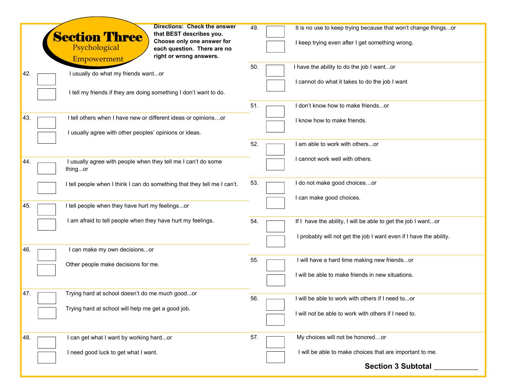|                                                                          | <b>Directions: Check the answer</b> |                                                                    |
|--------------------------------------------------------------------------|-------------------------------------|--------------------------------------------------------------------|
| that BEST describes you.                                                 | 49.                                 | It is no use to keep trying because that won't change thingsor     |
| <b>Section Three</b><br>Choose only one answer for                       |                                     |                                                                    |
| Psychological                                                            | each question. There are no         | I keep trying even after I get something wrong.                    |
| right or wrong answers.<br>Empowerment                                   |                                     |                                                                    |
|                                                                          | 50.                                 | I have the ability to do the job I wantor                          |
| I usually do what my friends wantor<br>42.                               |                                     |                                                                    |
|                                                                          |                                     | I cannot do what it takes to do the job I want                     |
| I tell my friends if they are doing something I don't want to do.        |                                     |                                                                    |
|                                                                          |                                     |                                                                    |
|                                                                          | 51.                                 | I don't know how to make friendsor                                 |
|                                                                          |                                     |                                                                    |
| I tell others when I have new or different ideas or opinionsor<br>43.    |                                     | I know how to make friends.                                        |
| I usually agree with other peoples' opinions or ideas.                   |                                     |                                                                    |
|                                                                          |                                     |                                                                    |
|                                                                          | 52.                                 | I am able to work with othersor                                    |
|                                                                          |                                     |                                                                    |
| I usually agree with people when they tell me I can't do some<br>44.     |                                     | I cannot work well with others.                                    |
| thingor                                                                  |                                     |                                                                    |
|                                                                          |                                     |                                                                    |
| I tell people when I think I can do something that they tell me I can't. | 53.                                 | I do not make good choicesor                                       |
|                                                                          |                                     |                                                                    |
|                                                                          |                                     | I can make good choices.                                           |
| I tell people when they have hurt my feelingsor<br>45.                   |                                     |                                                                    |
| I am afraid to tell people when they have hurt my feelings.              |                                     |                                                                    |
|                                                                          | 54.                                 | If I have the ability, I will be able to get the job I wantor      |
|                                                                          |                                     | I probably will not get the job I want even if I have the ability. |
|                                                                          |                                     |                                                                    |
| I can make my own decisionsor<br>46.                                     |                                     |                                                                    |
|                                                                          | 55.                                 | I will have a hard time making new friendsor                       |
| Other people make decisions for me.                                      |                                     |                                                                    |
|                                                                          |                                     | I will be able to make friends in new situations.                  |
|                                                                          |                                     |                                                                    |
|                                                                          |                                     |                                                                    |
| Trying hard at school doesn't do me much goodor<br>47.                   | 56.                                 | I will be able to work with others if I need toor                  |
| Trying hard at school will help me get a good job.                       |                                     |                                                                    |
|                                                                          |                                     | I will not be able to work with others if I need to.               |
|                                                                          |                                     |                                                                    |
|                                                                          |                                     |                                                                    |
| I can get what I want by working hardor<br>48.                           | 57.                                 | My choices will not be honoredor                                   |
|                                                                          |                                     |                                                                    |
| I need good luck to get what I want.                                     |                                     | I will be able to make choices that are important to me.           |
|                                                                          |                                     |                                                                    |
|                                                                          |                                     | <b>Section 3 Subtotal</b>                                          |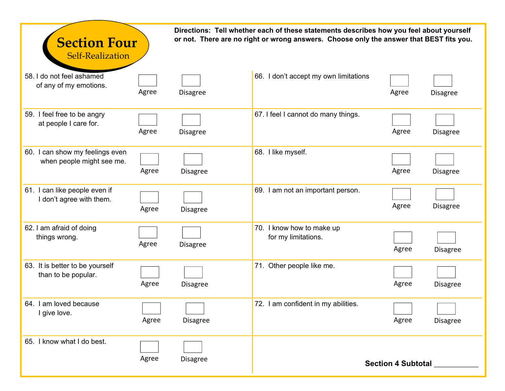| <b>Section Four</b><br><b>Self-Realization</b>               |       |                 | Directions: Tell whether each of these statements describes how you feel about yourself<br>or not. There are no right or wrong answers. Choose only the answer that BEST fits you. |                           |                 |
|--------------------------------------------------------------|-------|-----------------|------------------------------------------------------------------------------------------------------------------------------------------------------------------------------------|---------------------------|-----------------|
| 58. I do not feel ashamed<br>of any of my emotions.          | Agree | <b>Disagree</b> | 66. I don't accept my own limitations                                                                                                                                              | Agree                     | <b>Disagree</b> |
| 59. I feel free to be angry<br>at people I care for.         | Agree | <b>Disagree</b> | 67. I feel I cannot do many things.                                                                                                                                                | Agree                     | <b>Disagree</b> |
| 60. I can show my feelings even<br>when people might see me. | Agree | <b>Disagree</b> | 68. I like myself.                                                                                                                                                                 | Agree                     | <b>Disagree</b> |
| 61. I can like people even if<br>I don't agree with them.    | Agree | <b>Disagree</b> | 69. I am not an important person.                                                                                                                                                  | Agree                     | <b>Disagree</b> |
| 62. I am afraid of doing<br>things wrong.                    | Agree | <b>Disagree</b> | 70. I know how to make up<br>for my limitations.                                                                                                                                   | Agree                     | <b>Disagree</b> |
| 63. It is better to be yourself<br>than to be popular.       | Agree | <b>Disagree</b> | 71. Other people like me.                                                                                                                                                          | Agree                     | <b>Disagree</b> |
| 64. I am loved because<br>I give love.                       | Agree | <b>Disagree</b> | 72. I am confident in my abilities.                                                                                                                                                | Agree                     | Disagree        |
| 65. I know what I do best.                                   | Agree | <b>Disagree</b> |                                                                                                                                                                                    | <b>Section 4 Subtotal</b> |                 |